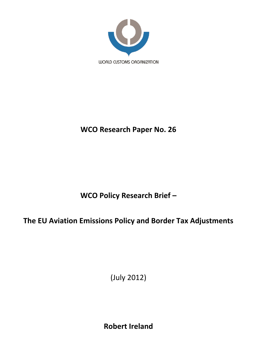

## **WCO Research Paper No. 26**

# **WCO Policy Research Brief –**

## **The EU Aviation Emissions Policy and Border Tax Adjustments**

(July 2012)

**Robert Ireland**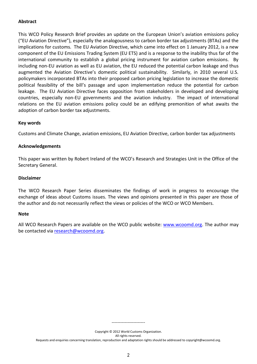## **Abstract**

This WCO Policy Research Brief provides an update on the European Union's aviation emissions policy ("EU Aviation Directive"), especially the analogousness to carbon border tax adjustments (BTAs) and the implications for customs. The EU Aviation Directive, which came into effect on 1 January 2012, is a new component of the EU Emissions Trading System (EU ETS) and is a response to the inability thus far of the international community to establish a global pricing instrument for aviation carbon emissions. By including non-EU aviation as well as EU aviation, the EU reduced the potential carbon leakage and thus augmented the Aviation Directive's domestic political sustainability. Similarly, in 2010 several U.S. policymakers incorporated BTAs into their proposed carbon pricing legislation to increase the domestic political feasibility of the bill's passage and upon implementation reduce the potential for carbon leakage. The EU Aviation Directive faces opposition from stakeholders in developed and developing countries, especially non-EU governments and the aviation industry. The impact of international relations on the EU aviation emissions policy could be an edifying premonition of what awaits the adoption of carbon border tax adjustments.

### **Key words**

Customs and Climate Change, aviation emissions, EU Aviation Directive, carbon border tax adjustments

### **Acknowledgements**

This paper was written by Robert Ireland of the WCO's Research and Strategies Unit in the Office of the Secretary General.

### **Disclaimer**

The WCO Research Paper Series disseminates the findings of work in progress to encourage the exchange of ideas about Customs issues. The views and opinions presented in this paper are those of the author and do not necessarily reflect the views or policies of the WCO or WCO Members.

#### **Note**

All WCO Research Papers are available on the WCO public website: [www.wcoomd.org.](http://www.wcoomd.org/) The author may be contacted vi[a research@wcoomd.org.](mailto:research@wcoomd.org)

> ----------------------- Copyright © 2012 World Customs Organization.

> > All rights reserved.

Requests and enquiries concerning translation, reproduction and adaptation rights should be addressed to copyright@wcoomd.org.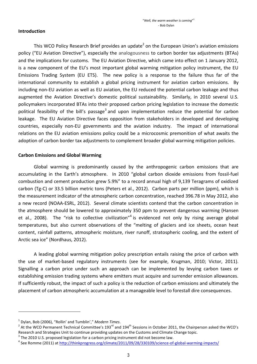## **Introduction**

This WCO Policy Research Brief provides an update<sup>2</sup> on the European Union's aviation emissions policy ("EU Aviation Directive"), especially the analogousness to carbon border tax adjustments (BTAs) and the implications for customs. The EU Aviation Directive, which came into effect on 1 January 2012, is a new component of the EU's most important global warming mitigation policy instrument, the EU Emissions Trading System (EU ETS). The new policy is a response to the failure thus far of the international community to establish a global pricing instrument for aviation carbon emissions. By including non-EU aviation as well as EU aviation, the EU reduced the potential carbon leakage and thus augmented the Aviation Directive's domestic political sustainability. Similarly, in 2010 several U.S. policymakers incorporated BTAs into their proposed carbon pricing legislation to increase the domestic political feasibility of the bill's passage<sup>3</sup> and upon implementation reduce the potential for carbon leakage. The EU Aviation Directive faces opposition from stakeholders in developed and developing countries, especially non-EU governments and the aviation industry. The impact of international relations on the EU aviation emissions policy could be a microcosmic premonition of what awaits the adoption of carbon border tax adjustments to complement broader global warming mitigation policies.

## **Carbon Emissions and Global Warming**

Global warming is predominantly caused by the anthropogenic carbon emissions that are accumulating in the Earth's atmosphere. In 2010 "global carbon dioxide emissions from fossil-fuel combustion and cement production grew 5.9%" to a record annual high of 9,139 Teragrams of oxidized carbon (Tg-C) or 33.5 billion metric tons (Peters et al., 2012). Carbon parts per million (ppm), which is the measurement indicator of the atmospheric carbon concentration, reached 396.78 in May 2012, also a new record (NOAA-ESRL, 2012). Several climate scientists contend that the carbon concentration in the atmosphere should be lowered to approximately 350 ppm to prevent dangerous warming (Hansen et al., 2008). The "risk to collective civilization"<sup>4</sup> is evidenced not only by rising average global temperatures, but also current observations of the "melting of glaciers and ice sheets, ocean heat content, rainfall patterns, atmospheric moisture, river runoff, stratospheric cooling, and the extent of Arctic sea ice" (Nordhaus, 2012).

A leading global warming mitigation policy prescription entails raising the price of carbon with the use of market-based regulatory instruments (see for example, Krugman, 2010; Victor, 2011). Signalling a carbon price under such an approach can be implemented by levying carbon taxes or establishing emission trading systems where emitters must acquire and surrender emission allowances. If sufficiently robust, the impact of such a policy is the reduction of carbon emissions and ultimately the placement of carbon atmospheric accumulation at a manageable level to forestall dire consequences.

 $\overline{\phantom{a}}$ 

<sup>1</sup> Dylan, Bob (2006), "Rollin' and Tumblin'," *Modern Times*.

<sup>&</sup>lt;sup>2</sup> At the WCO Permanent Technical Committee's 193<sup>rd</sup> and 194<sup>th</sup> Sessions in October 2011, the Chairperson asked the WCO's Research and Strategies Unit to continue providing updates on the Customs and Climate Change topic.

 $3$  The 2010 U.S. proposed legislation for a carbon pricing instrument did not become law.

<sup>&</sup>lt;sup>4</sup> See Romme (2011) at <u>http://thinkprogress.org/climate/2011/09/28/330109/science-of-global-warming-impacts/</u>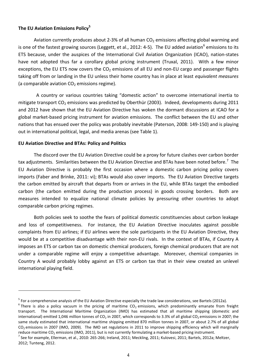## **The EU Aviation Emissions Policy<sup>5</sup>**

Aviation currently produces about 2-3% of all human  $CO<sub>2</sub>$  emissions affecting global warming and is one of the fastest growing sources (Leggett, et al., 2012: 4-5). The EU added aviation<sup>6</sup> emissions to its ETS because, under the auspices of the International Civil Aviation Organization (ICAO), nation-states have not adopted thus far a corollary global pricing instrument (Truxal, 2011). With a few minor exceptions, the EU ETS now covers the  $CO<sub>2</sub>$  emissions of all EU and non-EU cargo and passenger flights taking off from or landing in the EU unless their home country has in place at least *equivalent measures* (a comparable aviation  $CO<sub>2</sub>$  emissions regime).

 A country or various countries taking "domestic action" to overcome international inertia to mitigate transport  $CO_2$  emissions was predicted by Oberthür (2003). Indeed, developments during 2011 and 2012 have shown that the EU Aviation Directive has woken the dormant discussions at ICAO for a global market-based pricing instrument for aviation emissions. The conflict between the EU and other nations that has ensued over the policy was probably inevitable (Paterson, 2008: 149-150) and is playing out in international political, legal, and media arenas (see Table 1).

### **EU Aviation Directive and BTAs: Policy and Politics**

 $\overline{a}$ 

The discord over the EU Aviation Directive could be a proxy for future clashes over carbon border tax adjustments. Similarities between the EU Aviation Directive and BTAs have been noted before.<sup>7</sup> The EU Aviation Directive is probably the first occasion where a domestic carbon pricing policy covers imports (Faber and Brinke, 2011: vi); BTAs would also cover imports. The EU Aviation Directive targets the carbon emitted by aircraft that departs from or arrives in the EU, while BTAs target the embodied carbon (the carbon emitted during the production process) in goods crossing borders. Both are measures intended to equalize national climate policies by pressuring other countries to adopt comparable carbon pricing regimes.

Both policies seek to soothe the fears of political domestic constituencies about carbon leakage and loss of competitiveness. For instance, the EU Aviation Directive inoculates against possible complaints from EU airlines; if EU airlines were the sole participants in the EU Aviation Directive, they would be at a competitive disadvantage with their non-EU rivals. In the context of BTAs, if Country A imposes an ETS or carbon tax on domestic chemical producers, foreign chemical producers that are not under a comparable regime will enjoy a competitive advantage. Moreover, chemical companies in Country A would probably lobby against an ETS or carbon tax that in their view created an unlevel international playing field.

<sup>&</sup>lt;sup>5</sup> For a comprehensive analysis of the EU Aviation Directive especially the trade law considerations, see Bartels (2012a).

 $^6$  There is also a policy vacuum in the pricing of maritime CO<sub>2</sub> emissions, which predominantly emanate from freight transport. The International Maritime Organization (IMO) has estimated that all maritime shipping (domestic and international) emitted 1,046 million tonnes of  $CO<sub>2</sub>$  in 2007, which corresponds to 3.3% of all global  $CO<sub>2</sub>$  emissions in 2007; the same study estimated that international maritime shipping emitted 870 million tonnes in 2007, or about 2.7% of all global  $CO<sub>2</sub>$  emissions in 2007 (IMO, 2009). The IMO set regulations in 2011 to improve shipping efficiency which will marginally reduce maritime CO<sub>2</sub> emissions (IMO, 2011), but is not currently formulating a market-based pricing instrument.

 $^7$  See for example, Ellerman, et al., 2010: 265-266; Ireland, 2011; Meckling, 2011; Kulovesi, 2011; Bartels, 2012a; Meltzer, 2012; Tunteng, 2012.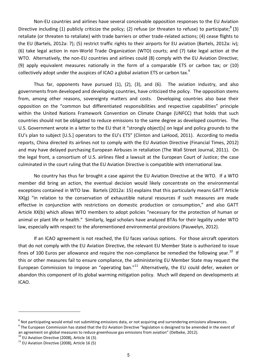Non-EU countries and airlines have several conceivable opposition responses to the EU Aviation Directive including (1) publicly criticize the policy; (2) refuse (or threaten to refuse) to participate;<sup>8</sup> (3) retaliate (or threaten to retaliate) with trade barriers or other trade-related actions; (4) cease flights to the EU (Bartels, 2012a: 7); (5) restrict traffic rights to their airports for EU aviation (Bartels, 2012a: iv); (6) take legal action in non-World Trade Organization (WTO) courts; and (7) take legal action at the WTO. Alternatively, the non-EU countries and airlines could (8) comply with the EU Aviation Directive; (9) apply equivalent measures nationally in the form of a comparable ETS or carbon tax; or (10) collectively adopt under the auspices of ICAO a global aviation ETS or carbon tax. $^{9}$ 

Thus far, opponents have pursued (1), (2), (3), and (6). The aviation industry, and also governments from developed and developing countries, have criticized the policy. The opposition stems from, among other reasons, sovereignty matters and costs. Developing countries also base their opposition on the "common but differentiated responsibilities and respective capabilities" principle within the United Nations Framework Convention on Climate Change (UNFCC) that holds that such countries should not be obligated to reduce emissions to the same degree as developed countries. The U.S. Government wrote in a letter to the EU that it "strongly object[s] on legal and policy grounds to the EU's plan to subject [U.S.] operators to the EU's ETS" (Clinton and LaHood, 2011). According to media reports, China directed its airlines not to comply with the EU Aviation Directive (Financial Times, 2012) and may have delayed purchasing European Airbuses in retaliation (The Wall Street Journal, 2011). On the legal front, a consortium of U.S. airlines filed a lawsuit at the European Court of Justice; the case culminated in the court ruling that the EU Aviation Directive is compatible with international law.

No country has thus far brought a case against the EU Aviation Directive at the WTO. If a WTO member did bring an action, the eventual decision would likely concentrate on the environmental exceptions contained in WTO law. Bartels (2012a: 15) explains that this particularly means GATT Article XX(g) "in relation to the conservation of exhaustible natural resources if such measures are made effective in conjunction with restrictions on domestic production or consumption," and also GATT Article XX(b) which allows WTO members to adopt policies "necessary for the protection of human or animal or plant life or health." Similarly, legal scholars have analyzed BTAs for their legality under WTO law, especially with respect to the aforementioned environmental provisions (Pauwelyn, 2012).

If an ICAO agreement is not reached, the EU faces various options. For those aircraft operators that do not comply with the EU Aviation Directive, the relevant EU Member State is authorized to issue fines of 100 Euros per allowance and require the non-compliance be remedied the following year.<sup>10</sup> If this or other measures fail to ensure compliance, the administering EU Member State may request the European Commission to impose an "operating ban."<sup>11</sup> Alternatively, the EU could defer, weaken or abandon this component of its global warming mitigation policy. Much will depend on developments at ICAO.

 $\overline{\phantom{a}}$ 

 $^8$  Not participating would entail not submitting emissions data, or not acquiring and surrendering emissions allowances.

<sup>&</sup>lt;sup>9</sup> The European Commission has stated that the EU Aviation Directive "legislation is designed to be amended in the event of an agreement on global measures to reduce greenhouse gas emissions from aviation" (Delbeke, 2012).

 $10$  EU Aviation Directive (2008), Article 16 (3).

 $11$  EU Aviation Directive (2008), Article 16 (5)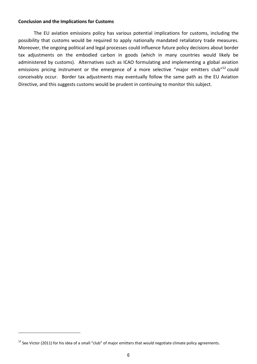## **Conclusion and the Implications for Customs**

The EU aviation emissions policy has various potential implications for customs, including the possibility that customs would be required to apply nationally mandated retaliatory trade measures. Moreover, the ongoing political and legal processes could influence future policy decisions about border tax adjustments on the embodied carbon in goods (which in many countries would likely be administered by customs). Alternatives such as ICAO formulating and implementing a global aviation emissions pricing instrument or the emergence of a more selective "major emitters club"<sup>12</sup> could conceivably occur. Border tax adjustments may eventually follow the same path as the EU Aviation Directive, and this suggests customs would be prudent in continuing to monitor this subject.

 $\overline{\phantom{a}}$ 

<sup>&</sup>lt;sup>12</sup> See Victor (2011) for his idea of a small "club" of major emitters that would negotiate climate policy agreements.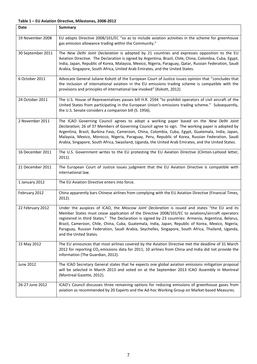#### **Table 1 – EU Aviation Directive, Milestones, 2008-2012**

| Date              | Summary                                                                                                                                                                                                                                                                                                                                                                                                                                                                                                                                          |
|-------------------|--------------------------------------------------------------------------------------------------------------------------------------------------------------------------------------------------------------------------------------------------------------------------------------------------------------------------------------------------------------------------------------------------------------------------------------------------------------------------------------------------------------------------------------------------|
| 19 November 2008  | EU adopts Directive 2008/101/EC "so as to include aviation activities in the scheme for greenhouse<br>gas emission allowance trading within the Community."                                                                                                                                                                                                                                                                                                                                                                                      |
| 30 September 2011 | The New Delhi Joint Declaration is adopted by 21 countries and expresses opposition to the EU<br>Aviation Directive. The Declaration is signed by Argentina, Brazil, Chile, China, Colombia, Cuba, Egypt,<br>India, Japan, Republic of Korea, Malaysia, Mexico, Nigeria, Paraguay, Qatar, Russian Federation, Saudi<br>Arabia, Singapore, South Africa, United Arab Emirates, and the United States.                                                                                                                                             |
| 6 October 2011    | Advocate General Juliane Kokott of the European Court of Justice issues opinion that "concludes that<br>the inclusion of international aviation in the EU emissions trading scheme is compatible with the<br>provisions and principles of international law invoked" (Kokott, 2012).                                                                                                                                                                                                                                                             |
| 24 October 2011   | The U.S. House of Representatives passes bill H.R. 2594 "to prohibit operators of civil aircraft of the<br>United States from participating in the European Union's emissions trading scheme." Subsequently,<br>the U.S. Senate considers a companion bill (S. 1956).                                                                                                                                                                                                                                                                            |
| 2 November 2011   | The ICAO Governing Council agrees to adopt a working paper based on the New Delhi Joint<br>Declaration; 26 of 37 Members of Governing Council agree to sign. The working paper is adopted by<br>Argentina, Brazil, Burkina Faso, Cameroon, China, Colombia, Cuba, Egypt, Guatemala, India, Japan,<br>Malaysia, Mexico, Morocco, Nigeria, Paraguay, Peru, Republic of Korea, Russian Federation, Saudi<br>Arabia, Singapore, South Africa, Swaziland, Uganda, the United Arab Emirates, and the United States.                                    |
| 16 December 2011  | The U.S. Government writes to the EU protesting the EU Aviation Directive (Clinton-LaHood letter,<br>$2011$ ).                                                                                                                                                                                                                                                                                                                                                                                                                                   |
| 21 December 2011  | The European Court of Justice issues judgment that the EU Aviation Directive is compatible with<br>international law.                                                                                                                                                                                                                                                                                                                                                                                                                            |
| 1 January 2012    | The EU Aviation Directive enters into force.                                                                                                                                                                                                                                                                                                                                                                                                                                                                                                     |
| February 2012     | China apparently bars Chinese airlines from complying with the EU Aviation Directive (Financial Times,<br>$2012$ ).                                                                                                                                                                                                                                                                                                                                                                                                                              |
| 22 February 2012  | Under the auspices of ICAO, the Moscow Joint Declaration is issued and states "the EU and its<br>Member States must cease application of the Directive 2008/101/EC to aviations/aircraft operators<br>registered in third States." The Declaration is signed by 23 countries: Armenia, Argentina, Belarus,<br>Brazil, Cameroon, Chile, China, Cuba, Guatemala, India, Japan, Republic of Korea, Mexico, Nigeria,<br>Paraguay, Russian Federation, Saudi Arabia, Seychelles, Singapore, South Africa, Thailand, Uganda,<br>and the United States. |
| 15 May 2012       | The EU announces that most airlines covered by the Aviation Directive met the deadline of 31 March<br>2012 for reporting CO <sub>2</sub> emissions data for 2011; 10 airlines from China and India did not provide the<br>information (The Guardian, 2012).                                                                                                                                                                                                                                                                                      |
| <b>June 2012</b>  | The ICAO Secretary General states that he expects one global aviation emissions mitigation proposal<br>will be selected in March 2013 and voted on at the September 2013 ICAO Assembly in Montreal<br>(Montreal Gazette, 2012).                                                                                                                                                                                                                                                                                                                  |
| 26-27 June 2012   | ICAO's Council discusses three remaining options for reducing emissions of greenhouse gases from<br>aviation as recommended by 20 Experts and the Ad-hoc Working Group on Market-based Measures.                                                                                                                                                                                                                                                                                                                                                 |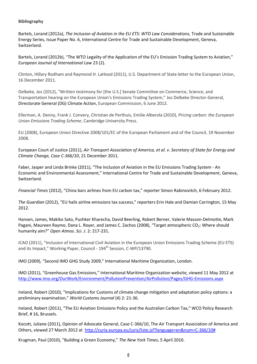### **Bibliography**

Bartels, Lorand (2012a), *The Inclusion of Aviation in the EU ETS: WTO Law Considerations*, Trade and Sustainable Energy Series, Issue Paper No. 6, International Centre for Trade and Sustainable Development, Geneva, Switzerland.

Bartels, Lorand (2012b), "The WTO Legality of the Application of the EU's Emission Trading System to Aviation," *European Journal of International Law* 23 (2).

Clinton, Hillary Rodham and Raymond H. LaHood (2011), U.S. Department of State letter to the European Union, 16 December 2011.

Delbeke, Jos (2012), "Written testimony for [the U.S.] Senate Committee on Commerce, Science, and Transportation hearing on the European Union's Emissions Trading System," Jos Delbeke Director-General, Directorate General (DG) Climate Action, European Commission, 6 June 2012.

Ellerman, A. Denny, Frank J. Convery, Christian de Perthuis, Emilie Alberola (2010), *Pricing carbon: the European Union Emissions Trading Scheme*, Cambridge University Press.

EU (2008), European Union Directive 2008/101/EC of the European Parliament and of the Council, 19 November 2008.

European Court of Justice (2011), *Air Transport Association of America, et al. v. Secretary of State for Energy and Climate Change, Case C-366/10*, 21 December 2011.

Faber, Jasper and Linda Brinke (2011), "The Inclusion of Aviation in the EU Emissions Trading System - An Economic and Environmental Assessment," International Centre for Trade and Sustainable Development, Geneva, Switzerland.

*Financial Times* (2012), "China bars airlines from EU carbon tax," reporter Simon Rabinovitch, 6 February 2012.

*The Guardian* (2012), "EU hails airline emissions tax success," reporters Erin Hale and Damian Carrington, 15 May 2012.

Hansen, James, Makiko Sato, Pushker Kharecha, David Beerling, Robert Berner, Valerie Masson-Delmotte, Mark Pagani, Maureen Raymo, Dana L. Royer, and James C. Zachos (2008), "Target atmospheric CO<sub>2</sub>: Where should humanity aim?" *Open Atmos. Sci. J.* 2: 217-231.

ICAO (2011), "Inclusion of International Civil Aviation in the European Union Emissions Trading Scheme (EU ETS) and its Impact," Working Paper, Council - 194<sup>th</sup> Session, C-WP/13790.

IMO (2009), "Second IMO GHG Study 2009," International Maritime Organization, London.

IMO (2011), "Greenhouse Gas Emissions," International Maritime Organization website, viewed 11 May 2012 at <http://www.imo.org/OurWork/Environment/PollutionPrevention/AirPollution/Pages/GHG-Emissions.aspx>

Ireland, Robert (2010), "Implications for Customs of climate change mitigation and adaptation policy options: a preliminary examination," *World Customs Journal* (4) 2: 21-36.

Ireland, Robert (2011), "The EU Aviation Emissions Policy and the Australian Carbon Tax," WCO Policy Research Brief, # 16, Brussels.

Kocott, Juliane (2011), Opinion of Advocate General, Case C-366/10, The Air Transport Association of America and Others, viewed 27 March 2012 at [http://curia.europa.eu/juris/liste.jsf?language=en&num=C-366/10#](http://curia.europa.eu/juris/liste.jsf?language=en&num=C-366/10)

Krugman, Paul (2010), "Building a Green Economy," *The New York Times*, 5 April 2010.